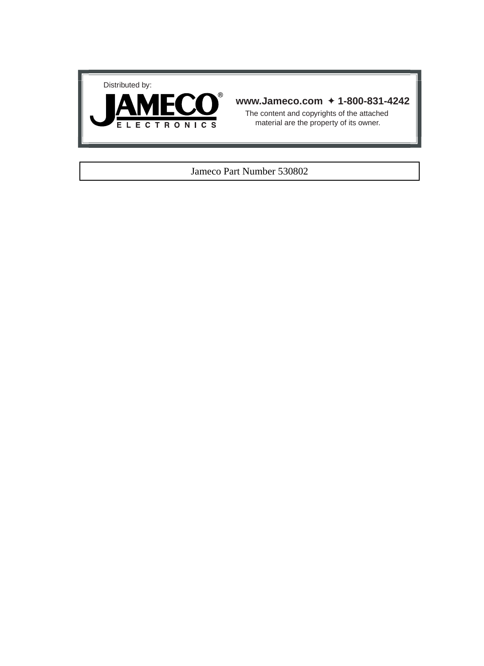



#### **www.Jameco.com** ✦ **1-800-831-4242**

The content and copyrights of the attached material are the property of its owner.

#### Jameco Part Number 530802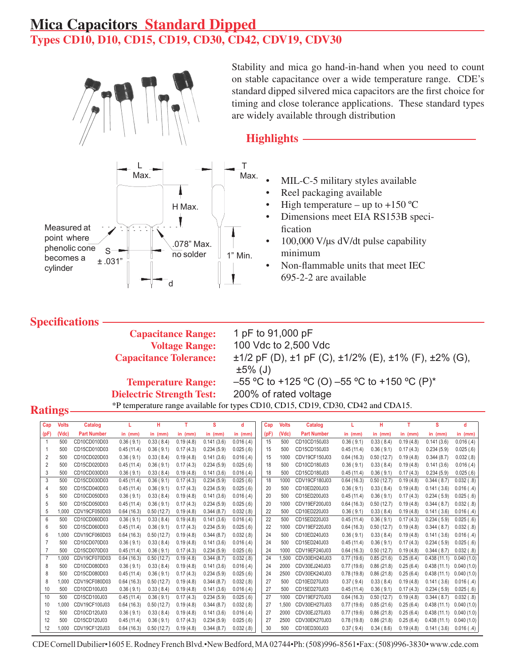## **Mica Capacitors Standard Dipped** Types CD10, D10, CD15, CD19, CD30, CD42, CDV19, CDV30



 $\top$ Max. Max. 4 H Max. Measured at point where 078" Max. phenolic cone  $S^ \overline{no}$  solder  $1"$  Min. becomes a  $±.031"$ cylinder

Stability and mica go hand-in-hand when you need to count on stable capacitance over a wide temperature range. CDE's standard dipped silvered mica capacitors are the first choice for timing and close tolerance applications. These standard types are widely available through distribution

### **Highlights**

- MIL-C-5 military styles available
- Reel packaging available
- High temperature up to +150  $^{\circ}$ C
- Dimensions meet EIA RS153B specification
- $100,000$  V/ $\mu$ s dV/dt pulse capability minimum
- Non-flammable units that meet IEC 695-2-2 are available

### **Specifications**

**Capacitance Range: Voltage Range: Capacitance Tolerance:** 

1 pF to 91,000 pF 100 Vdc to 2,500 Vdc ±1/2 pF (D), ±1 pF (C), ±1/2% (E), ±1% (F), ±2% (G),  $±5\%$  (J) –55 °C to +125 °C (O) –55 °C to +150 °C (P)\* **Temperature Range:** 200% of rated voltage **Dielectric Strength Test:** 

### **Ratings**

| Cap            | <b>Volts</b> | Catalog            |            | н          | т         | S          | d         | Cap  | <b>Volts</b> | <b>Catalog</b>     |            | н          | т         | s           | d                |
|----------------|--------------|--------------------|------------|------------|-----------|------------|-----------|------|--------------|--------------------|------------|------------|-----------|-------------|------------------|
| (pF)           | (Vdc)        | <b>Part Number</b> | in $(mm)$  | in $(mm)$  | in $(mm)$ | in $(mm)$  | in $(mm)$ | (pF) | (Vdc)        | <b>Part Number</b> | in $(mm)$  | in $(mm)$  | in $(mm)$ | in $(mm)$   | in $(mm)$        |
| $\overline{1}$ | 500          | CD10CD010D03       | 0.36(9.1)  | 0.33(8.4)  | 0.19(4.8) | 0.141(3.6) | 0.016(.4) | 15   | 500          | CD10CD150J03       | 0.36(9.1)  | 0.33(8.4)  | 0.19(4.8) | 0.141(3.6)  | 0.016(.4)        |
| -1             | 500          | CD15CD010D03       | 0.45(11.4) | 0.36(9.1)  | 0.17(4.3) | 0.234(5.9) | 0.025(.6) | 15   | 500          | CD15CD150J03       | 0.45(11.4) | 0.36(9.1)  | 0.17(4.3) | 0.234(5.9)  | 0.025(.6)        |
| $\overline{2}$ | 500          | CD10CD020D03       | 0.36(9.1)  | 0.33(8.4)  | 0.19(4.8) | 0.141(3.6) | 0.016(.4) | 15   | 1000         | CDV19CF150J03      | 0.64(16.3) | 0.50(12.7) | 0.19(4.8) | 0.344(8.7)  | 0.032(.8)        |
| $\overline{2}$ | 500          | CD15CD020D03       | 0.45(11.4) | 0.36(9.1)  | 0.17(4.3) | 0.234(5.9) | 0.025(.6) | 18   | 500          | CD10CD180J03       | 0.36(9.1)  | 0.33(8.4)  | 0.19(4.8) | 0.141(3.6)  | 0.016(.4)        |
| 3              | 500          | CD10CD030D03       | 0.36(9.1)  | 0.33(8.4)  | 0.19(4.8) | 0.141(3.6) | 0.016(.4) | 18   | 500          | CD15CD180J03       | 0.45(11.4) | 0.36(9.1)  | 0.17(4.3) | 0.234(5.9)  | 0.025(.6)        |
| 3              | 500          | CD15CD030D03       | 0.45(11.4) | 0.36(9.1)  | 0.17(4.3) | 0.234(5.9) | 0.025(.6) | 18   | 1000         | CDV19CF180J03      | 0.64(16.3) | 0.50(12.7) | 0.19(4.8) | 0.344(8.7)  | $0.032$ ( $.8$ ) |
| 4              | 500          | CD15CD040D03       | 0.45(11.4) | 0.36(9.1)  | 0.17(4.3) | 0.234(5.9) | 0.025(.6) | 20   | 500          | CD10ED200J03       | 0.36(9.1)  | 0.33(8.4)  | 0.19(4.8) | 0.141(3.6)  | $0.016$ (.4)     |
| 5              | 500          | CD10CD050D03       | 0.36(9.1)  | 0.33(8.4)  | 0.19(4.8) | 0.141(3.6) | 0.016(.4) | 20   | 500          | CD15ED200J03       | 0.45(11.4) | 0.36(9.1)  | 0.17(4.3) | 0.234(5.9)  | 0.025( .6)       |
| 5              | 500          | CD15CD050D03       | 0.45(11.4) | 0.36(9.1)  | 0.17(4.3) | 0.234(5.9) | 0.025(.6) | 20   | 1000         | CDV19EF200J03      | 0.64(16.3) | 0.50(12.7) | 0.19(4.8) | 0.344(8.7)  | $0.032$ (.8)     |
| 5              | 1,000        | CDV19CF050D03      | 0.64(16.3) | 0.50(12.7) | 0.19(4.8) | 0.344(8.7) | 0.032(.8) | 22   | 500          | CD10ED220J03       | 0.36(9.1)  | 0.33(8.4)  | 0.19(4.8) | 0.141(3.6)  | $0.016$ (.4)     |
| 6              | 500          | CD10CD060D03       | 0.36(9.1)  | 0.33(8.4)  | 0.19(4.8) | 0.141(3.6) | 0.016(.4) | 22   | 500          | CD15ED220J03       | 0.45(11.4) | 0.36(9.1)  | 0.17(4.3) | 0.234(5.9)  | $0.025$ ( $.6$ ) |
| 6              | 500          | CD15CD060D03       | 0.45(11.4) | 0.36(9.1)  | 0.17(4.3) | 0.234(5.9) | 0.025(.6) | 22   | 1000         | CDV19EF220J03      | 0.64(16.3) | 0.50(12.7) | 0.19(4.8) | 0.344(8.7)  | $0.032$ ( $.8$ ) |
| 6              | 1,000        | CDV19CF060D03      | 0.64(16.3) | 0.50(12.7) | 0.19(4.8) | 0.344(8.7) | 0.032(.8) | 24   | 500          | CD10ED240J03       | 0.36(9.1)  | 0.33(8.4)  | 0.19(4.8) | 0.141(3.6)  | 0.016(.4)        |
|                | 500          | CD10CD070D03       | 0.36(9.1)  | 0.33(8.4)  | 0.19(4.8) | 0.141(3.6) | 0.016(.4) | 24   | 500          | CD15ED240J03       | 0.45(11.4) | 0.36(9.1)  | 0.17(4.3) | 0.234(5.9)  | 0.025( .6)       |
| 7              | 500          | CD15CD070D03       | 0.45(11.4) | 0.36(9.1)  | 0.17(4.3) | 0.234(5.9) | 0.025(.6) | 24   | 1000         | CDV19EF240J03      | 0.64(16.3) | 0.50(12.7) | 0.19(4.8) | 0.344(8.7)  | 0.032(.8)        |
| $\overline{7}$ | 1,000        | CDV19CF070D03      | 0.64(16.3) | 0.50(12.7) | 0.19(4.8) | 0.344(8.7) | 0.032(.8) | 24   | 1,500        | CDV30EH240J03      | 0.77(19.6) | 0.85(21.6) | 0.25(6.4) | 0.438(11.1) | 0.040(1.0)       |
| 8              | 500          | CD10CD080D03       | 0.36(9.1)  | 0.33(8.4)  | 0.19(4.8) | 0.141(3.6) | 0.016(.4) | 24   | 2000         | CDV30EJ240J03      | 0.77(19.6) | 0.86(21.8) | 0.25(6.4) | 0.438(11.1) | 0.040(1.0)       |
| 8              | 500          | CD15CD080D03       | 0.45(11.4) | 0.36(9.1)  | 0.17(4.3) | 0.234(5.9) | 0.025(.6) | 24   | 2500         | CDV30EK240J03      | 0.78(19.8) | 0.86(21.8) | 0.25(6.4) | 0.438(11.1) | 0.040(1.0)       |
| 8              | 1,000        | CDV19CF080D03      | 0.64(16.3) | 0.50(12.7) | 0.19(4.8) | 0.344(8.7) | 0.032(.8) | 27   | 500          | CD10ED270J03       | 0.37(9.4)  | 0.33(8.4)  | 0.19(4.8) | 0.141(3.6)  | $0.016$ (.4)     |
| 10             | 500          | CD10CD100J03       | 0.36(9.1)  | 0.33(8.4)  | 0.19(4.8) | 0.141(3.6) | 0.016(.4) | 27   | 500          | CD15ED270J03       | 0.45(11.4) | 0.36(9.1)  | 0.17(4.3) | 0.234(5.9)  | 0.025( .6)       |
| 10             | 500          | CD15CD100J03       | 0.45(11.4) | 0.36(9.1)  | 0.17(4.3) | 0.234(5.9) | 0.025(.6) | 27   | 1000         | CDV19EF270J03      | 0.64(16.3) | 0.50(12.7) | 0.19(4.8) | 0.344(8.7)  | $0.032$ ( $.8$ ) |
| 10             | 1,000        | CDV19CF100J03      | 0.64(16.3) | 0.50(12.7) | 0.19(4.8) | 0.344(8.7) | 0.032(.8) | 27   | 1,500        | CDV30EH270J03      | 0.77(19.6) | 0.85(21.6) | 0.25(6.4) | 0.438(11.1) | 0.040(1.0)       |
| 12             | 500          | CD10CD120J03       | 0.36(9.1)  | 0.33(8.4)  | 0.19(4.8) | 0.141(3.6) | 0.016(.4) | 27   | 2000         | CDV30EJ270J03      | 0.77(19.6) | 0.86(21.8) | 0.25(6.4) | 0.438(11.1) | 0.040(1.0)       |
| 12             | 500          | CD15CD120J03       | 0.45(11.4) | 0.36(9.1)  | 0.17(4.3) | 0.234(5.9) | 0.025(.6) | 27   | 2500         | CDV30EK270J03      | 0.78(19.8) | 0.86(21.8) | 0.25(6.4) | 0.438(11.1) | 0.040(1.0)       |
| 12             | 1.000        | CDV19CF120J03      | 0.64(16.3) | 0.50(12.7) | 0.19(4.8) | 0.344(8.7) | 0.032(.8) | 30   | 500          | CD10ED300J03       | 0.37(9.4)  | 0.34(8.6)  | 0.19(4.8) | 0.141(3.6)  | $0.016$ (.4)     |

\*P temperature range available for types CD10, CD15, CD19, CD30, CD42 and CDA15.

CDE Cornell Dubilier•1605 E. Rodney French Blvd.•New Bedford, MA 02744•Ph: (508)996-8561•Fax: (508)996-3830• www.cde.com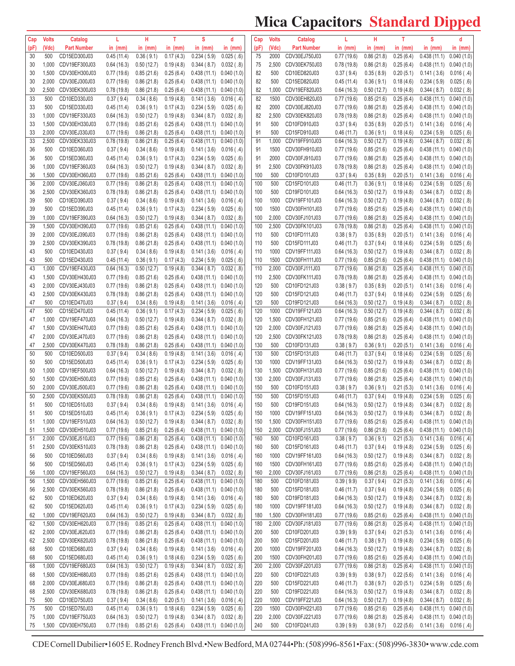# **Mica Capacitors Standard Dipped**

| Cap  | <b>Volts</b> | Catalog            | L          | н          | т         | s                                                    | d                        | Cap  | <b>Volts</b> | Catalog            | L           | н                      | т         | s                                                              | d                       |
|------|--------------|--------------------|------------|------------|-----------|------------------------------------------------------|--------------------------|------|--------------|--------------------|-------------|------------------------|-----------|----------------------------------------------------------------|-------------------------|
| (pF) | (Vdc)        | <b>Part Number</b> | in (mm)    | in $(mm)$  | in (mm)   | in $(mm)$                                            | in $(mm)$                | (pF) | (Vdc)        | <b>Part Number</b> | in $(mm)$   | in $(mm)$              | in (mm)   | in $(mm)$                                                      | in $(mm)$               |
| 30   | 500          | CD15ED300J03       | 0.45(11.4) | 0.36(9.1)  | 0.17(4.3) | 0.234(5.9)                                           | 0.025(.6)                | 75   | 2000         | CDV30EJ750J03      | 0.77(19.6)  | 0.86(21.8)             | 0.25(6.4) | 0.438(11.1)                                                    | 0.040(1.0)              |
| 30   | 1,000        | CDV19EF300J03      | 0.64(16.3) | 0.50(12.7) | 0.19(4.8) | 0.344(8.7)                                           | 0.032(.8)                | 75   | 2,500        | CDV30EK750J03      | 0.78(19.8)  | 0.86(21.8)             | 0.25(6.4) | 0.438(11.1)                                                    | 0.040(1.0)              |
| 30   | 1,500        | CDV30EH300J03      | 0.77(19.6) | 0.85(21.6) | 0.25(6.4) | $0.438(11.1)$ $0.040(1.0)$                           |                          | 82   | 500          | CD10ED820J03       | 0.37(9.4)   | 0.35(8.9)              | 0.20(5.1) | 0.141(3.6)                                                     | 0.016( .4)              |
| 30   | 2,000        | CDV30EJ300J03      | 0.77(19.6) | 0.86(21.8) | 0.25(6.4) | $0.438(11.1)$ $0.040(1.0)$                           |                          | 82   | 500          | CD15ED820J03       | 0.45(11.4)  | 0.36(9.1)              | 0.18(4.6) | 0.234(5.9)                                                     | 0.025( .6)              |
| 30   | 2,500        | CDV30EK300J03      | 0.78(19.8) | 0.86(21.8) | 0.25(6.4) | 0.438(11.1)                                          | 0.040(1.0)               | 82   | 1,000        | CDV19EF820J03      | 0.64(16.3)  | 0.50(12.7)             | 0.19(4.8) | 0.344(8.7)                                                     | 0.032(0.8)              |
| 33   | 500          | CD10ED330J03       | 0.37(9.4)  | 0.34(8.6)  | 0.19(4.8) | 0.141(3.6)                                           | 0.016( .4)               | 82   | 1500         | CDV30EH820J03      | 0.77(19.6)  | 0.85(21.6)             | 0.25(6.4) | 0.438(11.1)                                                    | 0.040(1.0)              |
| 33   | 500          | CD15ED330J03       | 0.45(11.4) | 0.36(9.1)  | 0.17(4.3) | 0.234(5.9)                                           | 0.025(.6)                | 82   | 2000         | CDV30EJ820J03      | 0.77(19.6)  | 0.86(21.8)             | 0.25(6.4) | 0.438(11.1)                                                    | 0.040(1.0)              |
| 33   | 1,000        | CDV19EF330J03      | 0.64(16.3) | 0.50(12.7) | 0.19(4.8) | 0.344(8.7)                                           | $0.032$ (.8)             | 82   | 2,500        | CDV30EK820J03      | 0.78(19.8)  | 0.86(21.8)             | 0.25(6.4) | 0.438(11.1)                                                    | 0.040(1.0)              |
| 33   | 1,500        | CDV30EH330J03      | 0.77(19.6) | 0.85(21.6) | 0.25(6.4) | 0.438(11.1)                                          | 0.040(1.0)               | 91   | 500          | CD10FD910J03       | 0.37(9.4)   | 0.35(8.9)              | 0.20(5.1) | 0.141(3.6)                                                     | 0.016(.4)               |
| 33   | 2,000        | CDV30EJ330J03      | 0.77(19.6) | 0.86(21.8) | 0.25(6.4) | 0.438(11.1)                                          | 0.040(1.0)               | 91   | 500          | CD15FD910J03       | 0.46(11.7)  | 0.36(9.1)              | 0.18(4.6) | 0.234(5.9)                                                     | 0.025(.6)               |
| 33   | 2,500        | CDV30EK330J03      | 0.78(19.8) | 0.86(21.8) | 0.25(6.4) | 0.438(11.1)                                          | 0.040(1.0)               | 91   | 1,000        | CDV19FF910J03      | 0.64(16.3)  | 0.50(12.7)             | 0.19(4.8) | 0.344(8.7)                                                     | 0.032(.8)               |
| 36   | 500          | CD10ED360J03       | 0.37(9.4)  | 0.34(8.6)  | 0.19(4.8) | 0.141(3.6)                                           | 0.016( .4)               | 91   | 1500         | CDV30FH910J03      | 0.77(19.6)  | 0.85(21.6)             | 0.25(6.4) | 0.438(11.1)                                                    | 0.040(1.0)              |
| 36   | 500          | CD15ED360J03       | 0.45(11.4) | 0.36(9.1)  | 0.17(4.3) | 0.234(5.9)                                           | 0.025(.6)                | 91   | 2000         | CDV30FJ910J03      | 0.77(19.6)  | 0.86(21.8)             | 0.25(6.4) | 0.438(11.1)                                                    | 0.040(1.0)              |
| 36   | 1,000        | CDV19EF360J03      | 0.64(16.3) | 0.50(12.7) |           | 0.344(8.7)                                           | 0.032(0.8)               | 91   | 2,500        | CDV30FK910J03      | 0.78(19.8)  | 0.86(21.8)             | 0.25(6.4) | 0.438(11.1)                                                    | 0.040(1.0)              |
|      | 1,500        | CDV30EH360J03      |            |            | 0.19(4.8) |                                                      |                          | 100  | 500          | CD10FD101J03       |             |                        |           |                                                                |                         |
| 36   |              | CDV30EJ360J03      | 0.77(19.6) | 0.85(21.6) | 0.25(6.4) | 0.438(11.1)                                          | 0.040(1.0)<br>0.040(1.0) | 100  | 500          | CD15FD101J03       | 0.37(9.4)   | 0.35(8.9)<br>0.36(9.1) | 0.20(5.1) | 0.141(3.6)                                                     | 0.016( .4)<br>0.025(.6) |
| 36   | 2,000        |                    | 0.77(19.6) | 0.86(21.8) | 0.25(6.4) | 0.438(11.1)                                          |                          |      |              |                    | 0.46(11.7)  |                        | 0.18(4.6) | 0.234(5.9)                                                     |                         |
| 36   | 2,500        | CDV30EK360J03      | 0.78(19.8) | 0.86(21.8) | 0.25(6.4) | 0.438(11.1)                                          | 0.040(1.0)               | 100  | 500          | CD19FD101J03       | 0.64(16.3)  | 0.50(12.7)             | 0.19(4.8) | 0.344(8.7)                                                     | $0.032$ (.8)            |
| 39   | 500          | CD10ED390J03       | 0.37(9.4)  | 0.34(8.6)  | 0.19(4.8) | 0.141(3.6)                                           | 0.016( .4)               | 100  | 1000         | CDV19FF101J03      | 0.64(16.3)  | 0.50(12.7)             | 0.19(4.8) | 0.344(8.7)                                                     | 0.032(0.8)              |
| 39   | 500          | CD15ED390J03       | 0.45(11.4) | 0.36(9.1)  | 0.17(4.3) | 0.234(5.9)                                           | 0.025(.6)                | 100  | 1500         | CDV30FH101J03      | 0.77(19.6)  | 0.85(21.6)             | 0.25(6.4) | 0.438(11.1)                                                    | 0.040(1.0)              |
| 39   | 1,000        | CDV19EF390J03      | 0.64(16.3) | 0.50(12.7) | 0.19(4.8) | 0.344(8.7)                                           | $0.032$ (.8)             | 100  | 2,000        | CDV30FJ101J03      | 0.77(19.6)  | 0.86(21.8)             | 0.25(6.4) | 0.438(11.1)                                                    | 0.040(1.0)              |
| 39   | 1,500        | CDV30EH390J03      | 0.77(19.6) | 0.85(21.6) | 0.25(6.4) | 0.438(11.1)                                          | 0.040(1.0)               | 100  | 2,500        | CDV30FK101J03      | 0.78(19.8)  | 0.86(21.8)             | 0.25(6.4) | 0.438(11.1)                                                    | 0.040(1.0)              |
| 39   | 2,000        | CDV30EJ390J03      | 0.77(19.6) | 0.86(21.8) | 0.25(6.4) | $0.438(11.1)$ $0.040(1.0)$                           |                          | 110  | 500          | CD10FD111J03       | 0.38(9.7)   | 0.35(8.9)              | 0.20(5.1) | 0.141(3.6)                                                     | 0.016( .4)              |
| 39   | 2,500        | CDV30EK390J03      | 0.78(19.8) | 0.86(21.8) | 0.25(6.4) | 0.438(11.1)                                          | 0.040(1.0)               | 110  | 500          | CD15FD111J03       | 0.46(11.7)  | 0.37(9.4)              | 0.18(4.6) | 0.234(5.9)                                                     | 0.025(.6)               |
| 43   | 500          | CD10ED430J03       | 0.37(9.4)  | 0.34(8.6)  | 0.19(4.8) | 0.141(3.6)                                           | 0.016( .4)               | 110  | 1000         | CDV19FF111J03      | 0.64(16.3)  | 0.50(12.7)             | 0.19(4.8) | 0.344(8.7)                                                     | 0.032(.8)               |
| 43   | 500          | CD15ED430J03       | 0.45(11.4) | 0.36(9.1)  | 0.17(4.3) | 0.234(5.9)                                           | 0.025(.6)                | 110  | 1500         | CDV30FH111J03      | 0.77(19.6)  | 0.85(21.6)             | 0.25(6.4) | 0.438(11.1)                                                    | 0.040(1.0)              |
| 43   | 1,000        | CDV19EF430J03      | 0.64(16.3) | 0.50(12.7) | 0.19(4.8) | 0.344(8.7)                                           | 0.032(0.8)               | 110  | 2,000        | CDV30FJ111J03      | 0.77(19.6)  | 0.86(21.8)             | 0.25(6.4) | 0.438(11.1)                                                    | 0.040(1.0)              |
| 43   | 1,500        | CDV30EH430J03      | 0.77(19.6) | 0.85(21.6) | 0.25(6.4) | 0.438(11.1)                                          | 0.040(1.0)               | 110  | 2,500        | CDV30FK111J03      | 0.78(19.8)  | 0.86(21.8)             | 0.25(6.4) | 0.438(11.1)                                                    | 0.040(1.0)              |
| 43   | 2,000        | CDV30EJ430J03      | 0.77(19.6) | 0.86(21.8) | 0.25(6.4) | $0.438(11.1)$ $0.040(1.0)$                           |                          | 120  | 500          | CD10FD121J03       | 0.38(9.7)   | 0.35(8.9)              | 0.20(5.1) | 0.141(3.6)                                                     | $0.016$ (.4)            |
| 43   | 2,500        | CDV30EK430J03      | 0.78(19.8) | 0.86(21.8) | 0.25(6.4) | $0.438(11.1)$ $0.040(1.0)$                           |                          | 120  | 500          | CD15FD121J03       | 0.46(11.7)  | 0.37(9.4)              | 0.18(4.6) | 0.234(5.9)                                                     | 0.025(.6)               |
| 47   | 500          | CD10ED470J03       | 0.37(9.4)  | 0.34(8.6)  | 0.19(4.8) | 0.141(3.6)                                           | 0.016( .4)               | 120  | 500          | CD19FD121J03       | 0.64(16.3)  | 0.50(12.7)             | 0.19(4.8) | 0.344(8.7)                                                     | 0.032(.8)               |
| 47   | 500          | CD15ED470J03       | 0.45(11.4) | 0.36(9.1)  | 0.17(4.3) | 0.234(5.9)                                           | 0.025(.6)                | 120  | 1000         | CDV19FF121J03      | 0.64(16.3)  | 0.50(12.7)             | 0.19(4.8) | 0.344(8.7)                                                     | $0.032$ $(.8)$          |
| 47   | 1,000        | CDV19EF470J03      | 0.64(16.3) | 0.50(12.7) | 0.19(4.8) | 0.344(8.7)                                           | $0.032$ (.8)             | 120  | 1,500        | CDV30FH121J03      | 0.77(19.6)  | 0.85(21.6)             | 0.25(6.4) | 0.438(11.1)                                                    | 0.040(1.0)              |
| 47   | 1,500        | CDV30EH470J03      | 0.77(19.6) | 0.85(21.6) | 0.25(6.4) | 0.438(11.1)                                          | 0.040(1.0)               | 120  | 2,000        | CDV30FJ121J03      | 0.77(19.6)  | 0.86(21.8)             | 0.25(6.4) | 0.438(11.1)                                                    | 0.040(1.0)              |
| 47   | 2,000        | CDV30EJ470J03      | 0.77(19.6) | 0.86(21.8) | 0.25(6.4) | 0.438(11.1)                                          | 0.040(1.0)               | 120  | 2,500        | CDV30FK121J03      | 0.78(19.8)  | 0.86(21.8)             | 0.25(6.4) | 0.438(11.1)                                                    | 0.040(1.0)              |
| 47   | 2,500        | CDV30EK470J03      | 0.78(19.8) | 0.86(21.8) | 0.25(6.4) | $0.438(11.1)$ 0.040 (1.0)                            |                          | 130  | 500          | CD10FD131J03       | 0.38(9.7)   | 0.36(9.1)              | 0.20(5.1) | 0.141(3.6)                                                     | 0.016( .4)              |
| 50   | 500          | CD10ED500J03       | 0.37(9.4)  | 0.34(8.6)  | 0.19(4.8) | 0.141(3.6)                                           | 0.016( .4)               | 130  | 500          | CD15FD131J03       | 0.46(11.7)  | 0.37(9.4)              | 0.18(4.6) | 0.234(5.9)                                                     | 0.025(.6)               |
| 50   | 500          | CD15ED500J03       | 0.45(11.4) | 0.36(9.1)  | 0.17(4.3) | 0.234(5.9)                                           | 0.025(.6)                | 130  | 1000         | CDV19FF131J03      | 0.64(16.3)  | 0.50(12.7)             | 0.19(4.8) | 0.344(8.7)                                                     | $0.032$ (.8)            |
| 50   | 1,000        | CDV19EF500J03      | 0.64(16.3) | 0.50(12.7) | 0.19(4.8) | 0.344(8.7)                                           | $0.032$ (.8)             | 130  | 1,500        | CDV30FH131J03      | 0.77(19.6)  | 0.85(21.6)             | 0.25(6.4) | 0.438(11.1)                                                    | 0.040(1.0)              |
| 50   | 1,500        | CDV30EH500J03      | 0.77(19.6) | 0.85(21.6) | 0.25(6.4) | 0.438(11.1)                                          | 0.040(1.0)               | 130  | 2,000        | CDV30FJ131J03      | 0.77(19.6)  | 0.86(21.8)             | 0.25(6.4) | 0.438(11.1)                                                    | 0.040(1.0)              |
| 50   | 2,000        | CDV30EJ500J03      | 0.77(19.6) | 0.86(21.8) | 0.25(6.4) | 0.438(11.1)                                          | 0.040(1.0)               | 150  | 500          | CD10FD151J03       | 0.38(9.7)   | 0.36(9.1)              | 0.21(5.3) | 0.141(3.6)                                                     | 0.016( .4)              |
| 50   | 2,500        | CDV30EK500J03      | 0.78(19.8) | 0.86(21.8) | 0.25(6.4) | 0.438(11.1)                                          | 0.040(1.0)               | 150  | 500          | CD15FD151J03       | 0.46(11.7)  | 0.37(9.4)              | 0.19(4.8) | 0.234(5.9)                                                     | 0.025( .6)              |
| 51   | 500          | CD10ED510J03       | 0.37(9.4)  | 0.34(8.6)  | 0.19(4.8) | $0.141(3.6)$ $0.016(.4)$                             |                          | 150  | 500          | CD19FD151J03       | 0.64(16.3)  | 0.50(12.7)             | 0.19(4.8) | $0.344(8.7)$ $0.032(.8)$                                       |                         |
| 51   | 500          | CD15ED510J03       | 0.45(11.4) |            |           | $0.36$ (9.1) $0.17$ (4.3) $0.234$ (5.9) $0.025$ (.6) |                          | 150  |              | 1000 CDV19FF151J03 |             |                        |           | $0.64(16.3)$ $0.50(12.7)$ $0.19(4.8)$ $0.344(8.7)$ $0.032(.8)$ |                         |
| 51   | 1,000        | CDV19EF510J03      | 0.64(16.3) | 0.50(12.7) | 0.19(4.8) | $0.344(8.7)$ $0.032(.8)$                             |                          | 150  | 1,500        | CDV30FH151J03      | 0.77(19.6)  | 0.85(21.6)             | 0.25(6.4) | $0.438(11.1)$ $0.040(1.0)$                                     |                         |
| 51   | 1,500        | CDV30EH510J03      | 0.77(19.6) | 0.85(21.6) | 0.25(6.4) | $0.438(11.1)$ $0.040(1.0)$                           |                          | 150  | 2,000        | CDV30FJ151J03      | 0.77(19.6)  | 0.86(21.8)             | 0.25(6.4) | $0.438(11.1)$ $0.040(1.0)$                                     |                         |
| 51   | 2,000        | CDV30EJ510J03      | 0.77(19.6) | 0.86(21.8) | 0.25(6.4) | $0.438(11.1)$ $0.040(1.0)$                           |                          | 160  | 500          | CD10FD161J03       | 0.38(9.7)   | 0.36(9.1)              | 0.21(5.3) | 0.141(3.6)                                                     | 0.016( .4)              |
| 51   | 2,500        | CDV30EK510J03      | 0.78(19.8) | 0.86(21.8) | 0.25(6.4) | $0.438(11.1)$ $0.040(1.0)$                           |                          | 160  | 500          | CD15FD161J03       | 0.46(11.7)  | 0.37(9.4)              | 0.19(4.8) | 0.234(5.9)                                                     | 0.025( .6)              |
| 56   | 500          | CD10ED560J03       | 0.37(9.4)  | 0.34(8.6)  | 0.19(4.8) | 0.141(3.6)                                           | 0.016( .4)               | 160  | 1000         | CDV19FF161J03      | 0.64(16.3)  | 0.50(12.7)             | 0.19(4.8) | 0.344(8.7)                                                     | 0.032(.8)               |
| 56   | 500          | CD15ED560J03       | 0.45(11.4) | 0.36(9.1)  | 0.17(4.3) | 0.234(5.9)                                           | 0.025( .6)               | 160  | 1500         | CDV30FH161J03      | 0.77(19.6)  | 0.85(21.6)             | 0.25(6.4) | $0.438(11.1)$ $0.040(1.0)$                                     |                         |
| 56   | 1,000        | CDV19EF560J03      | 0.64(16.3) | 0.50(12.7) | 0.19(4.8) | 0.344(8.7)                                           | 0.032(.8)                | 160  | 2,000        | CDV30FJ161J03      | 0.77 (19.6) | 0.86(21.8)             | 0.25(6.4) | 0.438(11.1)                                                    | 0.040(1.0)              |
| 56   | 1,500        | CDV30EH560J03      | 0.77(19.6) | 0.85(21.6) | 0.25(6.4) | $0.438(11.1)$ $0.040(1.0)$                           |                          | 180  | 500          | CD10FD181J03       | 0.39(9.9)   | 0.37(9.4)              | 0.21(5.3) | 0.141(3.6)                                                     | $0.016$ (.4)            |
| 56   | 2,500        | CDV30EK560J03      | 0.78(19.8) | 0.86(21.8) | 0.25(6.4) | $0.438(11.1)$ $0.040(1.0)$                           |                          | 180  | 500          | CD15FD181J03       | 0.46(11.7)  | 0.37(9.4)              | 0.19(4.8) | 0.234(5.9)                                                     | 0.025( .6)              |
| 62   | 500          | CD10ED620J03       | 0.37(9.4)  | 0.34(8.6)  | 0.19(4.8) | 0.141(3.6)                                           | 0.016( .4)               | 180  | 500          | CD19FD181J03       | 0.64(16.3)  | 0.50(12.7)             | 0.19(4.8) | 0.344(8.7)                                                     | 0.032(.8)               |
| 62   | 500          | CD15ED620J03       | 0.45(11.4) | 0.36(9.1)  | 0.17(4.3) | 0.234(5.9)                                           | 0.025(.6)                | 180  | 1000         | CDV19FF181J03      | 0.64(16.3)  | 0.50(12.7)             | 0.19(4.8) | 0.344(8.7)                                                     | 0.032(.8)               |
| 62   | 1,000        | CDV19EF620J03      | 0.64(16.3) | 0.50(12.7) | 0.19(4.8) | 0.344(8.7)                                           | $0.032$ (.8)             | 180  | 1,500        | CDV30FH181J03      | 0.77(19.6)  | 0.85(21.6)             | 0.25(6.4) | 0.438(11.1)                                                    | 0.040(1.0)              |
| 62   | 1,500        | CDV30EH620J03      | 0.77(19.6) | 0.85(21.6) | 0.25(6.4) | 0.438(11.1)                                          | 0.040(1.0)               | 180  | 2,000        | CDV30FJ181J03      | 0.77(19.6)  | 0.86(21.8)             | 0.25(6.4) | 0.438(11.1)                                                    | 0.040(1.0)              |
| 62   | 2,000        | CDV30EJ620J03      | 0.77(19.6) | 0.86(21.8) | 0.25(6.4) | $0.438(11.1)$ $0.040(1.0)$                           |                          | 200  | 500          | CD10FD201J03       | 0.39(9.9)   | 0.37(9.4)              | 0.21(5.3) | 0.141(3.6)                                                     | 0.016(.4)               |
| 62   | 2,500        | CDV30EK620J03      | 0.78(19.8) | 0.86(21.8) | 0.25(6.4) | $0.438(11.1)$ $0.040(1.0)$                           |                          | 200  | 500          | CD15FD201J03       | 0.46(11.7)  | 0.38(9.7)              | 0.19(4.8) | 0.234(5.9)                                                     | 0.025(.6)               |
| 68   | 500          | CD10ED680J03       | 0.37(9.4)  | 0.34(8.6)  | 0.19(4.8) | 0.141(3.6)                                           | 0.016( .4)               | 200  | 1000         | CDV19FF201J03      | 0.64(16.3)  | 0.50(12.7)             | 0.19(4.8) | 0.344(8.7)                                                     | 0.032(.8)               |
| 68   | 500          | CD15ED680J03       | 0.45(11.4) | 0.36(9.1)  | 0.18(4.6) | 0.234(5.9)                                           | 0.025( .6)               | 200  | 1500         | CDV30FH201J03      | 0.77(19.6)  | 0.85(21.6)             | 0.25(6.4) | $0.438(11.1)$ $0.040(1.0)$                                     |                         |
| 68   | 1,000        | CDV19EF680J03      | 0.64(16.3) | 0.50(12.7) | 0.19(4.8) | 0.344(8.7)                                           | $0.032$ (.8)             | 200  | 2,000        | CDV30FJ201J03      | 0.77(19.6)  | 0.86(21.8)             | 0.25(6.4) | 0.438(11.1)                                                    | 0.040(1.0)              |
| 68   | 1,500        | CDV30EH680J03      | 0.77(19.6) | 0.85(21.6) | 0.25(6.4) | $0.438(11.1)$ $0.040(1.0)$                           |                          | 220  | 500          | CD10FD221J03       | 0.39(9.9)   | 0.38(9.7)              | 0.22(5.6) | 0.141(3.6)                                                     | $0.016$ (.4)            |
| 68   | 2,000        | CDV30EJ680J03      | 0.77(19.6) | 0.86(21.8) | 0.25(6.4) | $0.438(11.1)$ $0.040(1.0)$                           |                          | 220  | 500          | CD15FD221J03       | 0.46(11.7)  | 0.38(9.7)              | 0.20(5.1) | 0.234(5.9)                                                     | 0.025(.6)               |
| 68   | 2,500        | CDV30EK680J03      | 0.78(19.8) | 0.86(21.8) | 0.25(6.4) | $0.438(11.1)$ $0.040(1.0)$                           |                          | 220  | 500          | CD19FD221J03       | 0.64(16.3)  | 0.50(12.7)             | 0.19(4.8) | 0.344(8.7)                                                     | 0.032(0.8)              |
| 75   | 500          | CD10ED750J03       | 0.37(9.4)  | 0.34(8.6)  | 0.20(5.1) | 0.141(3.6)                                           | $0.016$ (.4)             | 220  | 1000         | CDV19FF221J03      | 0.64(16.3)  | 0.50(12.7)             | 0.19(4.8) | 0.344(8.7)                                                     | 0.032(.8)               |
| 75   | 500          | CD15ED750J03       | 0.45(11.4) | 0.36(9.1)  | 0.18(4.6) | 0.234(5.9)                                           | 0.025(.6)                | 220  | 1500         | CDV30FH221J03      | 0.77(19.6)  | 0.85(21.6)             | 0.25(6.4) | 0.438(11.1)                                                    | 0.040(1.0)              |
| 75   | 1,000        | CDV19EF750J03      | 0.64(16.3) | 0.50(12.7) | 0.19(4.8) | 0.344(8.7)                                           | $0.032$ (.8)             | 220  | 2,000        | CDV30FJ221J03      | 0.77(19.6)  | 0.86(21.8)             | 0.25(6.4) | 0.438(11.1)                                                    | 0.040(1.0)              |
| 75   | 1,500        | CDV30EH750J03      | 0.77(19.6) | 0.85(21.6) | 0.25(6.4) | $0.438(11.1)$ $0.040(1.0)$                           |                          | 240  | 500          | CD10FD241J03       | 0.39(9.9)   | 0.38(9.7)              | 0.22(5.6) | $0.141(3.6)$ $0.016(.4)$                                       |                         |
|      |              |                    |            |            |           |                                                      |                          |      |              |                    |             |                        |           |                                                                |                         |

CDE Cornell Dubilier · 1605 E. Rodney French Blvd. · New Bedford, MA 02744 · Ph: (508)996-8561 · Fax: (508)996-3830 · www.cde.com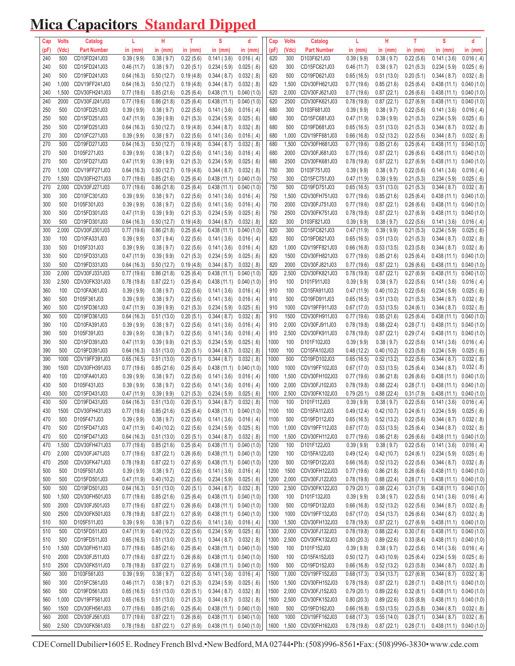## Mica Capacitors Standard Dipped

| Cap        | <b>Volts</b>   | Catalog                        | L                        | н                        | т                      | S                                         | d                        | Cap          | <b>Volts</b> | Catalog                      | L                        | н                        | т                      | S                         | d                             |
|------------|----------------|--------------------------------|--------------------------|--------------------------|------------------------|-------------------------------------------|--------------------------|--------------|--------------|------------------------------|--------------------------|--------------------------|------------------------|---------------------------|-------------------------------|
| (pF)       | (Vdc)          | <b>Part Number</b>             | in $(mm)$                | in $(mm)$                | in $(mm)$              | in $(mm)$                                 | in $(mm)$                | (pF)         | (Vdc)        | <b>Part Number</b>           | in $(mm)$                | in $(mm)$                | in $(mm)$              | in $(mm)$                 | in $(mm)$                     |
| 240        | 500            | CD10FD241J03                   | 0.39(9.9)                | 0.38(9.7)                | 0.22(5.6)              | 0.141(3.6)                                | 0.016( .4)               | 620          | 300          | D103F621J03                  | 0.39(9.9)                | 0.38(9.7)                | 0.22(5.6)              | 0.141(3.6)                | $0.016$ (.4)                  |
| 240        | 500            | CD15FD241J03                   | 0.46(11.7)               | 0.38(9.7)                | 0.20(5.1)              | 0.234(5.9)                                | 0.025( .6)               | 620          | 300          | CD15FC621J03                 | 0.46(11.7)               | 0.38(9.7)                | 0.21(5.3)              | 0.234(5.9)                | 0.025(.6)                     |
| 240        | 500            | CD19FD241J03                   | 0.64(16.3)               | 0.50(12.7)               | 0.19(4.8)              | 0.344(8.7)                                | $0.032$ ( $.8$ )         | 620          | 500          | CD19FD621J03                 | 0.65(16.5)               | 0.51(13.0)               | 0.20(5.1)              | 0.344(8.7)                | $0.032$ ( $.8$ )              |
| 240        | 1,000          | CDV19FF241J03                  | 0.64(16.3)               | 0.50(12.7)               | 0.19(4.8)              | 0.344(8.7)                                | $0.032$ ( $.8$ )         | 620          | 1,500        | CDV30FH621J03                | 0.77(19.6)               | 0.85(21.6)               | 0.25(6.4)              | 0.438(11.1)               | 0.040(1.0)                    |
| 240        | 1,500          | CDV30FH241J03                  | 0.77(19.6)               | 0.85(21.6)               | 0.25(6.4)              | 0.438(11.1)                               | 0.040(1.0)               | 620          | 2,000        | CDV30FJ621J03                | 0.77(19.6)               | 0.87(22.1)               | 0.26(6.6)              | 0.438(11.1)               | 0.040(1.0)                    |
| 240        | 2000           | CDV30FJ241J03                  | 0.77(19.6)               | 0.86(21.8)               | 0.25(6.4)              | 0.438(11.1)                               | 0.040(1.0)               | 620          | 2500         | CDV30FK621J03                | 0.78(19.8)               | 0.87(22.1)               | 0.27(6.9)              | 0.438(11.1)               | 0.040(1.0)                    |
| 250        | 500            | CD10FD251J03                   | 0.39(9.9)                | 0.38(9.7)                | 0.22(5.6)              | 0.141(3.6)                                | 0.016( .4)               | 680          | 300          | D103F681J03                  | 0.39(9.9)                | 0.38(9.7)                | 0.22(5.6)              | 0.141(3.6)                | $0.016$ (.4)                  |
| 250        | 500            | CD15FD251J03                   | 0.47(11.9)               | 0.39(9.9)                | 0.21(5.3)              | 0.234(5.9)                                | 0.025( .6)               | 680          | 300          | CD15FC681J03                 | 0.47(11.9)               | 0.39(9.9)                | 0.21(5.3)              | 0.234(5.9)                | 0.025( .6)                    |
| 250        | 500            | CD19FD251J03                   | 0.64(16.3)               | 0.50(12.7)               | 0.19(4.8)              | 0.344(8.7)                                | $0.032$ ( $.8$ )         | 680          | 500          | CD19FD681J03                 | 0.65(16.5)               | 0.51(13.0)               | 0.21(5.3)              | 0.344(8.7)                | $0.032$ ( $.8$ )              |
| 270        | 300            | CD10FC271J03                   | 0.39(9.9)                | 0.38(9.7)                | 0.22(5.6)              | 0.141(3.6)                                | 0.016( .4)               | 680          | 1,000        | CDV19FF681J03                | 0.66(16.8)               | 0.52(13.2)               | 0.22(5.6)              | 0.344(8.7)                | $0.032$ ( $.8$ )              |
| 270        | 500            | CD19FD271J03                   | 0.64(16.3)               | 0.50(12.7)               | 0.19(4.8)              | 0.344(8.7)                                | $0.032$ ( $.8$ )         | 680          | 1,500        | CDV30FH681J03                | 0.77(19.6)               | 0.85(21.6)               | 0.25(6.4)              | 0.438(11.1)               | 0.040(1.0)                    |
| 270        | 500            | D105F271J03                    | 0.39(9.9)                | 0.38(9.7)                | 0.22(5.6)              | 0.141(3.6)                                | 0.016( .4)               | 680          | 2000         | CDV30FJ681J03                | 0.77(19.6)               | 0.87(22.1)               | 0.26(6.6)              | 0.438(11.1)               | 0.040(1.0)                    |
| 270        | 500            | CD15FD271J03                   | 0.47(11.9)               | 0.39(9.9)                | 0.21(5.3)              | 0.234(5.9)                                | 0.025(.6)                | 680          | 2500         | CDV30FK681J03                | 0.78(19.8)               | 0.87(22.1)               | 0.27(6.9)              | 0.438(11.1)               | 0.040(1.0)                    |
| 270        | 1,000          | CDV19FF271J03                  | 0.64(16.3)               | 0.50(12.7)               | 0.19(4.8)              | 0.344(8.7)                                | $0.032$ ( $.8$ )         | 750          | 300          | D103F751J03                  | 0.39(9.9)                | 0.38(9.7)                | 0.22(5.6)              | 0.141(3.6)                | $0.016$ (.4)                  |
| 270<br>270 | 1,500<br>2,000 | CDV30FH271J03<br>CDV30FJ271J03 | 0.77(19.6)<br>0.77(19.6) | 0.85(21.6)<br>0.86(21.8) | 0.25(6.4)<br>0.25(6.4) | 0.438(11.1)<br>0.438(11.1)                | 0.040(1.0)<br>0.040(1.0) | 750<br>750   | 300<br>500   | CD15FC751J03<br>CD19FD751J03 | 0.47(11.9)<br>0.65(16.5) | 0.39(9.9)<br>0.51(13.0)  | 0.21(5.3)<br>0.21(5.3) | 0.234(5.9)<br>0.344(8.7)  | 0.025(.6)<br>$0.032$ ( $.8$ ) |
| 300        | 300            | CD10FC301J03                   | 0.39(9.9)                | 0.38(9.7)                | 0.22(5.6)              | 0.141(3.6)                                | 0.016( .4)               | 750          | 1,500        | CDV30FH751J03                | 0.77(19.6)               | 0.85(21.6)               | 0.25(6.4)              | 0.438(11.1)               | 0.040(1.0)                    |
| 300        | 500            | D105F301J03                    | 0.39(9.9)                | 0.38(9.7)                | 0.22(5.6)              | 0.141(3.6)                                | 0.016( .4)               | 750          | 2000         | CDV30FJ751J03                | 0.77(19.6)               | 0.87(22.1)               | 0.26(6.6)              | 0.438(11.1)               | 0.040(1.0)                    |
| 300        | 500            | CD15FD301J03                   | 0.47(11.9)               | 0.39(9.9)                | 0.21(5.3)              | 0.234(5.9)                                | 0.025( .6)               | 750          | 2500         | CDV30FK751J03                | 0.78(19.8)               | 0.87(22.1)               | 0.27(6.9)              | 0.438(11.1)               | 0.040(1.0)                    |
| 300        | 500            | CD19FD301J03                   | 0.64(16.3)               | 0.50(12.7)               | 0.19(4.8)              | 0.344(8.7)                                | 0.032(.8)                | 820          | 300          | D103F821J03                  | 0.39(9.9)                | 0.38(9.7)                | 0.22(5.6)              | 0.141(3.6)                | $0.016$ (.4)                  |
| 300        | 2,000          | CDV30FJ301J03                  | 0.77(19.6)               | 0.86(21.8)               | 0.25(6.4)              | 0.438(11.1)                               | 0.040(1.0)               | 820          | 300          | CD15FC821J03                 | 0.47(11.9)               | 0.39(9.9)                | 0.21(5.3)              | 0.234(5.9)                | 0.025(.6)                     |
| 330        | 100            | CD10FA331J03                   | 0.39(9.9)                | 0.37(9.4)                | 0.22(5.6)              | 0.141(3.6)                                | 0.016( .4)               | 820          | 500          | CD19FD821J03                 | 0.65(16.5)               | 0.51(13.0)               | 0.21(5.3)              | 0.344(8.7)                | $0.032$ $(.8)$                |
| 330        | 500            | D105F331J03                    | 0.39(9.9)                | 0.38(9.7)                | 0.22(5.6)              | 0.141(3.6)                                | 0.016( .4)               | 820          | 1,000        | CDV19FF821J03                | 0.66(16.8)               | 0.53(13.5)               | 0.23(5.8)              | 0.344(8.7)                | $0.032$ ( $.8$ )              |
| 330        | 500            | CD15FD331J03                   | 0.47(11.9)               | 0.39(9.9)                | 0.21(5.3)              | 0.234(5.9)                                | 0.025(.6)                | 820          | 1500         | CDV30FH821J03                | 0.77(19.6)               | 0.85(21.6)               | 0.25(6.4)              | 0.438(11.1)               | 0.040(1.0)                    |
| 330        | 500            | CD19FD331J03                   | 0.64(16.3)               | 0.50(12.7)               | 0.19(4.8)              | 0.344(8.7)                                | $0.032$ ( $.8$ )         | 820          | 2000         | CDV30FJ821J03                | 0.77(19.6)               | 0.87(22.1)               | 0.26(6.6)              | 0.438(11.1)               | 0.040(1.0)                    |
| 330        | 2,000          | CDV30FJ331J03                  | 0.77(19.6)               | 0.86(21.8)               | 0.25(6.4)              | 0.438(11.1)                               | 0.040(1.0)               | 820          | 2,500        | CDV30FK821J03                | 0.78(19.8)               | 0.87(22.1)               | 0.27(6.9)              | 0.438(11.1)               | 0.040(1.0)                    |
| 330        | 2,500          | CDV30FK331J03                  | 0.78(19.8)               | 0.87(22.1)               | 0.25(6.4)              | 0.438(11.1)                               | 0.040(1.0)               | 910          | 100          | D101F911J03                  | 0.39(9.9)                | 0.38(9.7)                | 0.22(5.6)              | 0.141(3.6)                | $0.016$ (.4)                  |
| 360        | 100            | CD10FA361J03                   | 0.39(9.9)                | 0.38(9.7)                | 0.22(5.6)              | 0.141(3.6)                                | 0.016( .4)               | 910          | 100          | CD15FA911J03                 | 0.47(11.9)               | 0.40(10.2)               | 0.22(5.6)              | 0.234(5.9)                | 0.025( .6)                    |
| 360        | 500            | D105F361J03                    | 0.39(9.9)                | 0.38(9.7)                | 0.22(5.6)              | 0.141(3.6)                                | 0.016( .4)               | 910          | 500          | CD19FD911J03                 | 0.65(16.5)               | 0.51(13.0)               | 0.21(5.3)              | 0.344(8.7)                | $0.032$ $(.8)$                |
| 360        | 500            | CD15FD361J03                   | 0.47(11.9)               | 0.39(9.9)                | 0.21(5.3)              | 0.234(5.9)                                | 0.025( .6)               | 910          | 1000         | CDV19FF911J03                | 0.67(17.0)               | 0.53(13.5)               | 0.24(6.1)              | 0.344(8.7)                | $0.032$ ( $.8$ )              |
| 360        | 500            | CD19FD361J03                   | 0.64(16.3)               | 0.51(13.0)               | 0.20(5.1)              | 0.344(8.7)                                | $0.032$ ( $.8$ )         | 910          | 1500         | CDV30FH911J03                | 0.77(19.6)               | 0.85(21.6)               | 0.25(6.4)              | 0.438(11.1)               | 0.040(1.0)                    |
| 390        | 100            | CD10FA391J03                   | 0.39(9.9)                | 0.38(9.7)                | 0.22(5.6)              | 0.141(3.6)                                | 0.016( .4)               | 910          | 2,000        | CDV30FJ911J03                | 0.78(19.8)               | 0.88(22.4)               | 0.28(7.1)              | 0.438(11.1)               | 0.040(1.0)                    |
| 390        | 500            | D105F391J03                    | 0.39(9.9)                | 0.38(9.7)                | 0.22(5.6)              | 0.141(3.6)                                | 0.016( .4)               | 910          | 2,500        | CDV30FK911J03                | 0.78(19.8)               | 0.87(22.1)               | 0.29(7.4)              | 0.438(11.1)               | 0.040(1.0)                    |
| 390        | 500            | CD15FD391J03                   | 0.47(11.9)               | 0.39(9.9)                | 0.21(5.3)              | 0.234(5.9)                                | 0.025(.6)                | 1000         | 100          | D101F102J03                  | 0.39(9.9)                | 0.38(9.7)                | 0.22(5.6)              | 0.141(3.6)                | $0.016$ (.4)                  |
| 390        | 500            | CD19FD391J03                   | 0.64(16.3)               | 0.51(13.0)               | 0.20(5.1)              | 0.344(8.7)                                | $0.032$ ( $.8$ )         | 1000         | 100          | CD15FA102J03                 | 0.48(12.2)               | 0.40(10.2)               | 0.23(5.8)              | 0.234(5.9)                | 0.025(.6)                     |
| 390        | 1000           | CDV19FF391J03                  | 0.65(16.5)               | 0.51(13.0)               | 0.20(5.1)              | 0.344(8.7)                                | $0.032$ ( $.8$ )         | 1000         | 500          | CD19FD102J03                 | 0.65(16.5)               | 0.52(13.2)               | 0.22(5.6)              | 0.344(8.7)                | $0.032$ $(.8)$                |
| 390        | 1500           | CDV30FH391J03                  | 0.77(19.6)               | 0.85(21.6)               | 0.25(6.4)              | 0.438(11.1)                               | 0.040(1.0)               | 1000         | 1000         | CDV19FF102J03                | 0.67(17.0)               | 0.53(13.5)               | 0.25(6.4)              | 0.344(8.7)                | $0.032$ (.8)                  |
| 400        | 100            | CD10FA401J03                   | 0.39(9.9)                | 0.38(9.7)                | 0.22(5.6)              | 0.141(3.6)                                | 0.016( .4)               | 1000         | 1,500        | CDV30FH102J03                | 0.77(19.6)               | 0.86(21.8)               | 0.26(6.6)              | 0.438(11.1)               | 0.040(1.0)                    |
| 430        | 500            | D105F431J03                    | 0.39(9.9)                | 0.38(9.7)                | 0.22(5.6)              | 0.141(3.6)                                | 0.016( .4)               | 1000         | 2,000        | CDV30FJ102J03                | 0.78(19.8)               | 0.88(22.4)               | 0.28(7.1)              | 0.438(11.1)               | 0.040(1.0)                    |
| 430        | 500            | CD15FD431J03                   | 0.47(11.9)               | 0.39(9.9)                | 0.21(5.3)              | 0.234(5.9)                                | 0.025(.6)                | 1000         | 2,500        | CDV30FK102J03                | 0.79(20.1)               | 0.88(22.4)               | 0.31(7.9)              | 0.438(11.1)               | 0.040(1.0)                    |
| 430        | 500            | CD19FD431J03                   | 0.64(16.3)               | 0.51(13.0)               | 0.20(5.1)              | 0.344(8.7)                                | 0.032(.8)                | 1100         | 100          | D101F112J03                  | 0.39(9.9)                | 0.38(9.7)                | 0.22(5.6)              | 0.141(3.6)                | $0.016$ (.4)                  |
| 430        | 1500           | CDV30FH431J03                  | 0.77(19.6)               | 0.85(21.6)               | 0.25(6.4)              | 0.438(11.1)                               | 0.040(1.0)               | 1100         | 100          | CD15FA112J03                 | 0.49(12.4)               | 0.42(10.7)               | 0.24(6.1)              | 0.234(5.9)                | 0.025(.6)                     |
| 470        | 500            | D105F471J03                    | 0.39(9.9)                | 0.38(9.7)                | 0.22(5.6)              | 0.141(3.6)                                | 0.016( .4)               | 1100         | 500          | CD19FD112J03                 | 0.65(16.5)               | 0.52(13.2)               | 0.22(5.6)              | 0.344(8.7)                | 0.032(.8)                     |
| 470        | 500            | CD15FD471J03                   | 0.47(11.9)               | 0.40(10.2)               | 0.22(5.6)              | 0.234(5.9)                                | 0.025(.6)                | 1100         | 1,000        | CDV19FF112J03                | 0.67(17.0)               | 0.53(13.5)               | 0.25(6.4)              | 0.344(8.7)                | $0.032$ (.8)                  |
| 470        | 500            | CD19FD471J03                   | 0.64(16.3)               | 0.51(13.0)               | 0.20(5.1)              | 0.344(8.7)                                | 0.032(.8)                | 1100         | 1,500        | CDV30FH112J03                | 0.77(19.6)               | 0.86(21.8)               | 0.26(6.6)              | 0.438(11.1)               | 0.040(1.0)                    |
| 470        | 1,500          | CDV30FH471J03                  | 0.77(19.6)               | 0.85(21.6)               | 0.25(6.4)              | 0.438(11.1)                               | 0.040(1.0)               | 1200         | 100          | D101F122J03                  | 0.39(9.9)                | 0.38(9.7)                | 0.22(5.6)              | 0.141(3.6)                | 0.016(.4)                     |
| 470        | 2,000          | CDV30FJ471J03                  | 0.77(19.6)               | 0.87(22.1)               | 0.26(6.6)              | 0.438(11.1)                               | 0.040(1.0)               | 1200         | 100          | CD15FA122J03                 | 0.49(12.4)               | 0.42(10.7)               | 0.24(6.1)              | 0.234(5.9)                | $0.025$ (.6)                  |
| 470        | 2500           | CDV30FK471J03                  | 0.78(19.8)               | 0.87(22.1)               | 0.27(6.9)              | $0.438(11.1)$ $0.040(1.0)$                |                          | 1200         | 500          | CD19FD122J03                 | 0.66(16.8)               | 0.52(13.2)               | 0.22(5.6)              | 0.344(8.7)                | $0.032$ ( $.8$ )              |
| 500        | 500            | D105F501J03                    | 0.39(9.9)                | 0.38(9.7)                | 0.22(5.6)              | 0.141(3.6)                                | 0.016( .4)               | 1200         | 1500         | CDV30FH122J03                | 0.77(19.6)               | 0.86(21.8)               | 0.26(6.6)              | 0.438(11.1)               | 0.040(1.0)                    |
| 500        | 500            | CD15FD501J03                   | 0.47(11.9)               | 0.40(10.2)               | 0.22(5.6)              | 0.234(5.9)                                | 0.025(.6)                | 1200         | 2,000        | CDV30FJ122J03                | 0.78(19.8)               | 0.88(22.4)               | 0.28(7.1)              | 0.438(11.1)               | 0.040(1.0)                    |
| 500        | 500            | CD19FD501J03<br>CDV30FH501J03  | 0.64(16.3)               | 0.51(13.0)               | 0.20(5.1)              | 0.344(8.7)                                | $0.032$ ( $.8$ )         | 1200         | 2,500        | CDV30FK122J03<br>D101F132J03 | 0.79(20.1)               | 0.88(22.4)               | 0.31(7.9)              | 0.438(11.1)               | 0.040(1.0)<br>$0.016$ (.4)    |
| 500<br>500 | 1,500<br>2000  | CDV30FJ501J03                  | 0.77(19.6)<br>0.77(19.6) | 0.85(21.6)<br>0.87(22.1) | 0.25(6.4)<br>0.26(6.6) | 0.438(11.1)<br>$0.438(11.1)$ $0.040(1.0)$ | 0.040(1.0)               | 1300<br>1300 | 100<br>500   | CD19FD132J03                 | 0.39(9.9)<br>0.66(16.8)  | 0.38(9.7)<br>0.52(13.2)  | 0.22(5.6)<br>0.22(5.6) | 0.141(3.6)<br>0.344(8.7)  | $0.032$ (.8)                  |
| 500        | 2500           | CDV30FK501J03                  |                          |                          | 0.27(6.9)              | 0.438(11.1)                               | 0.040(1.0)               | 1300         | 1000         | CDV19FF132J03                |                          |                          |                        |                           | $0.032$ ( $.8$ )              |
| 510        | 500            | D105F511J03                    | 0.78(19.8)<br>0.39(9.9)  | 0.87(22.1)<br>0.38(9.7)  | 0.22(5.6)              | 0.141(3.6)                                | 0.016( .4)               | 1300         | 1,500        | CDV30FH132J03                | 0.67(17.0)<br>0.78(19.8) | 0.54(13.7)<br>0.87(22.1) | 0.26(6.6)<br>0.27(6.9) | 0.344(8.7)<br>0.438(11.1) | 0.040(1.0)                    |
| 510        | 500            | CD15FD511J03                   | 0.47(11.9)               | 0.40(10.2)               | 0.22(5.6)              | 0.234(5.9)                                | 0.025(.6)                | 1300         | 2,000        | CDV30FJ132J03                | 0.78(19.8)               | 0.88(22.4)               | 0.30(7.6)              | 0.438(11.1)               | 0.040(1.0)                    |
| 510        | 500            | CD19FD511J03                   | 0.65(16.5)               | 0.51(13.0)               | 0.20(5.1)              | 0.344(8.7)                                | 0.032(.8)                | 1300         | 2,500        | CDV30FK132J03                | 0.80(20.3)               | 0.89(22.6)               | 0.33(8.4)              | 0.438(11.1)               | 0.040(1.0)                    |
| 510        | 1,500          | CDV30FH511J03                  | 0.77(19.6)               | 0.85(21.6)               | 0.25(6.4)              | $0.438(11.1)$ $0.040(1.0)$                |                          | 1500         | 100          | D101F152J03                  | 0.39(9.9)                | 0.38(9.7)                | 0.22(5.6)              | 0.141(3.6)                | $0.016$ (.4)                  |
| 510        | 2000           | CDV30FJ511J03                  | 0.77(19.6)               | 0.87(22.1)               | 0.26(6.6)              | $0.438(11.1)$ $0.040(1.0)$                |                          | 1500         | 100          | CD15FA152J03                 | 0.50(12.7)               | 0.43(10.9)               | 0.25(6.4)              | 0.234(5.9)                | $0.025$ (.6)                  |
| 510        | 2500           | CDV30FK511J03                  | 0.78(19.8)               | 0.87(22.1)               | 0.27(6.9)              | 0.438(11.1)                               | 0.040(1.0)               | 1500         | 500          | CD19FD152J03                 | 0.66(16.8)               | 0.52(13.2)               | 0.23(5.8)              | 0.344(8.7)                | $0.032$ (.8)                  |
| 560        | 300            | D103F561J03                    | 0.39(9.9)                | 0.38(9.7)                | 0.22(5.6)              | 0.141(3.6)                                | 0.016( .4)               | 1500         | 1,000        | CDV19FF152J03                | 0.68(17.3)               | 0.54(13.7)               | 0.27(6.9)              | 0.344(8.7)                | $0.032$ (.8)                  |
| 560        | 300            | CD15FC561J03                   | 0.46(11.7)               | 0.38(9.7)                | 0.21(5.3)              | 0.234(5.9)                                | 0.025( .6)               | 1500         | 1,500        | CDV30FH152J03                | 0.78(19.8)               | 0.87(22.1)               | 0.28(7.1)              | 0.438(11.1)               | 0.040(1.0)                    |
| 560        | 500            | CD19FD561J03                   | 0.65(16.5)               | 0.51(13.0)               | 0.20(5.1)              | 0.344(8.7)                                | 0.032(.8)                | 1500         | 2,000        | CDV30FJ152J03                | 0.79(20.1)               | 0.89(22.6)               | 0.32(8.1)              | 0.438(11.1)               | 0.040(1.0)                    |
| 560        | 1,000          | CDV19FF561J03                  | 0.65(16.5)               | 0.51(13.0)               | 0.21(5.3)              | 0.344(8.7)                                | $0.032$ ( $.8$ )         | 1500         | 2,500        | CDV30FK152J03                | 0.80(20.3)               | 0.89(22.6)               | 0.35(8.9)              | 0.438(11.1)               | 0.040(1.0)                    |
| 560        | 1500           | CDV30FH561J03                  | 0.77(19.6)               | 0.85(21.6)               | 0.25(6.4)              | 0.438(11.1)                               | 0.040(1.0)               | 1600         | 500          | CD19FD162J03                 | 0.66(16.8)               | 0.53(13.5)               | 0.23(5.8)              | 0.344(8.7)                | 0.032(.8)                     |
| 560        | 2000           | CDV30FJ561J03                  | 0.77(19.6)               | 0.87(22.1)               | 0.26(6.6)              | 0.438(11.1)                               | 0.040(1.0)               | 1600         | 1000         | CDV19FF162J03                | 0.68(17.3)               | 0.55(14.0)               | 0.28(7.1)              | 0.344(8.7)                | $0.032$ (.8)                  |
| 560        | 2,500          | CDV30FK561J03                  | 0.78(19.8)               | 0.87(22.1)               | 0.27(6.9)              | $0.438(11.1)$ $0.040(1.0)$                |                          | 1600         | 1,500        | CDV30FH162J03                | 0.78(19.8)               | 0.87(22.1)               | 0.28(7.1)              | 0.438(11.1)               | 0.040(1.0)                    |
|            |                |                                |                          |                          |                        |                                           |                          |              |              |                              |                          |                          |                        |                           |                               |

CDE Cornell Dubilier · 1605 E. Rodney French Blvd. · New Bedford, MA 02744 · Ph: (508)996-8561 · Fax: (508)996-3830 · www.cde.com